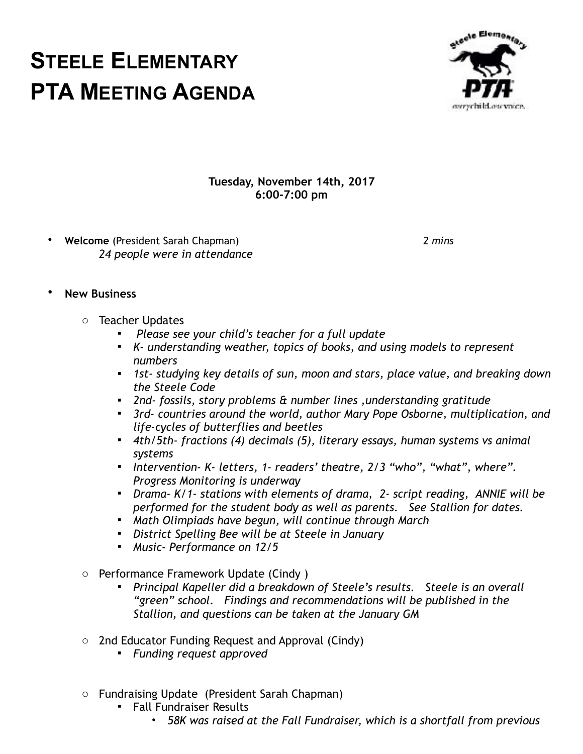## **STEELE ELEMENTARY PTA MEETING AGENDA**



**Tuesday, November 14th, 2017 6:00-7:00 pm** 

• **Welcome** (President Sarah Chapman) *2 mins 24 people were in attendance*

## • **New Business**

- o Teacher Updates
	- ▪ *Please see your child's teacher for a full update*
	- *K- understanding weather, topics of books, and using models to represent numbers*
	- *1st- studying key details of sun, moon and stars, place value, and breaking down the Steele Code*
	- *2nd- fossils, story problems & number lines ,understanding gratitude*
	- *3rd- countries around the world, author Mary Pope Osborne, multiplication, and life-cycles of butterflies and beetles*
	- *4th/5th- fractions (4) decimals (5), literary essays, human systems vs animal systems*
	- *Intervention- K- letters, 1- readers' theatre, 2/3 "who", "what", where". Progress Monitoring is underway*
	- *Drama- K/1- stations with elements of drama, 2- script reading, ANNIE will be performed for the student body as well as parents. See Stallion for dates.*
	- *Math Olimpiads have begun, will continue through March*
	- *District Spelling Bee will be at Steele in January*
	- *Music- Performance on 12/5*
- o Performance Framework Update (Cindy )
	- *Principal Kapeller did a breakdown of Steele's results. Steele is an overall "green" school. Findings and recommendations will be published in the Stallion, and questions can be taken at the January GM*
- o 2nd Educator Funding Request and Approval (Cindy)
	- *Funding request approved*
- o Fundraising Update (President Sarah Chapman)
	- Fall Fundraiser Results
		- *58K was raised at the Fall Fundraiser, which is a shortfall from previous*